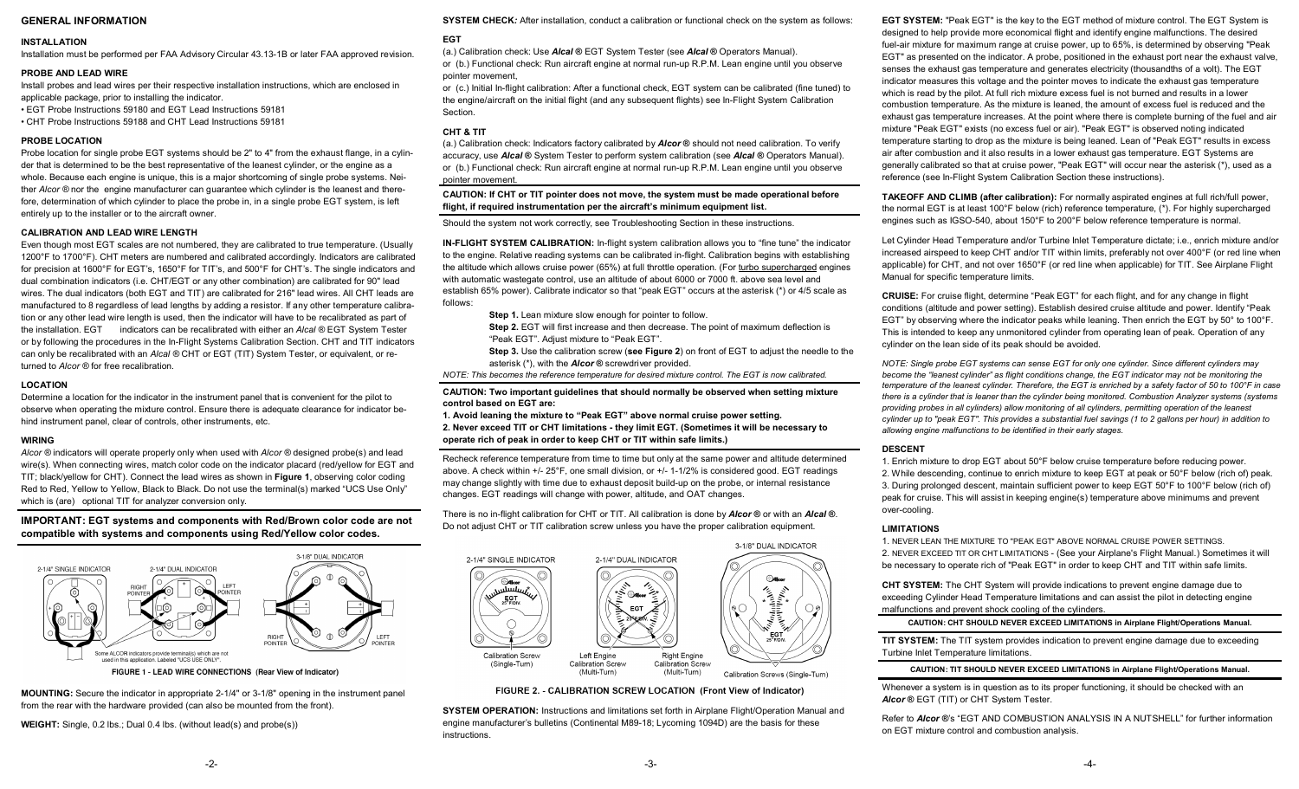# **GENERAL INFORMATION**

### **INSTALLATION**

Installation must be performed per FAA Advisory Circular 43.13-1B or later FAA approved revision.

#### **PROBE AND LEAD WIRE**

Install probes and lead wires per their respective installation instructions, which are enclosed in applicable package, prior to installing the indicator.

- EGT Probe Instructions 59180 and EGT Lead Instructions 59181
- CHT Probe Instructions 59188 and CHT Lead Instructions 59181

# **PROBE LOCATION**

Probe location for single probe EGT systems should be 2" to 4" from the exhaust flange, in a cylinder that is determined to be the best representative of the leanest cylinder, or the engine as a whole. Because each engine is unique, this is a major shortcoming of single probe systems. Neither *Alcor ®* nor the engine manufacturer can guarantee which cylinder is the leanest and therefore, determination of which cylinder to place the probe in, in a single probe EGT system, is left entirely up to the installer or to the aircraft owner.

# **CALIBRATION AND LEAD WIRE LENGTH**

Even though most EGT scales are not numbered, they are calibrated to true temperature. (Usually 1200°F to 1700°F). CHT meters are numbered and calibrated accordingly. Indicators are calibrated for precision at 1600°F for EGT's, 1650°F for TIT's, and 500°F for CHT's. The single indicators and dual combination indicators (i.e. CHT/EGT or any other combination) are calibrated for 90" lead wires. The dual indicators (both EGT and TIT) are calibrated for 216" lead wires. All CHT leads are manufactured to 8 regardless of lead lengths by adding a resistor. If any other temperature calibration or any other lead wire length is used, then the indicator will have to be recalibrated as part of the installation. EGT indicators can be recalibrated with either an *Alcal ®* EGT System Tester or by following the procedures in the In-Flight Systems Calibration Section. CHT and TIT indicators can only be recalibrated with an *Alcal ®* CHT or EGT (TIT) System Tester, or equivalent, or returned to *Alcor ®* for free recalibration.

### **LOCATION**

Determine a location for the indicator in the instrument panel that is convenient for the pilot to observe when operating the mixture control. Ensure there is adequate clearance for indicator behind instrument panel, clear of controls, other instruments, etc.

### **WIRING**

*Alcor ®* indicators will operate properly only when used with *Alcor ®* designed probe(s) and lead wire(s). When connecting wires, match color code on the indicator placard (red/yellow for EGT and TIT; black/yellow for CHT). Connect the lead wires as shown in **Figure 1**, observing color coding Red to Red, Yellow to Yellow, Black to Black. Do not use the terminal(s) marked "UCS Use Only" which is (are) optional TIT for analyzer conversion only.

# **IMPORTANT: EGT systems and components with Red/Brown color code are not compatible with systems and components using Red/Yellow color codes.**



**MOUNTING:** Secure the indicator in appropriate 2-1/4" or 3-1/8" opening in the instrument panel from the rear with the hardware provided (can also be mounted from the front).

**WEIGHT:** Single, 0.2 lbs.; Dual 0.4 lbs. (without lead(s) and probe(s))

#### **SYSTEM CHECK***:* After installation, conduct a calibration or functional check on the system as follows:

#### **EGT**

(a.) Calibration check: Use *Alcal* **®** EGT System Tester (see *Alcal* **®** Operators Manual). or (b.) Functional check: Run aircraft engine at normal run-up R.P.M. Lean engine until you observe pointer movement,

or (c.) Initial In-flight calibration: After a functional check, EGT system can be calibrated (fine tuned) to the engine/aircraft on the initial flight (and any subsequent flights) see In-Flight System Calibration Section.

# **CHT & TIT**

(a.) Calibration check: Indicators factory calibrated by *Alcor* **®** should not need calibration. To verify accuracy, use *Alcal* **®** System Tester to perform system calibration (see *Alcal* **®** Operators Manual). or (b.) Functional check: Run aircraft engine at normal run-up R.P.M. Lean engine until you observe pointer movement.

**CAUTION: If CHT or TIT pointer does not move, the system must be made operational before flight, if required instrumentation per the aircraft's minimum equipment list.** 

Should the system not work correctly, see Troubleshooting Section in these instructions.

**IN-FLIGHT SYSTEM CALIBRATION:** In-flight system calibration allows you to "fine tune" the indicator to the engine. Relative reading systems can be calibrated in-flight. Calibration begins with establishing the altitude which allows cruise power (65%) at full throttle operation. (For turbo supercharged engines with automatic wastegate control, use an altitude of about 6000 or 7000 ft. above sea level and establish 65% power). Calibrate indicator so that "peak EGT" occurs at the asterisk (\*) or 4/5 scale as follows:

- **Step 1.** Lean mixture slow enough for pointer to follow.
- **Step 2.** EGT will first increase and then decrease. The point of maximum deflection is "Peak EGT". Adjust mixture to "Peak EGT".
- **Step 3.** Use the calibration screw (**see Figure 2**) on front of EGT to adjust the needle to the asterisk (\*), with the *Alcor* **®** screwdriver provided.

*NOTE: This becomes the reference temperature for desired mixture control. The EGT is now calibrated.*

### **CAUTION: Two important guidelines that should normally be observed when setting mixture control based on EGT are:**

**1. Avoid leaning the mixture to "Peak EGT" above normal cruise power setting. 2. Never exceed TIT or CHT limitations - they limit EGT. (Sometimes it will be necessary to operate rich of peak in order to keep CHT or TIT within safe limits.)** 

Recheck reference temperature from time to time but only at the same power and altitude determined above. A check within +/- 25°F, one small division, or +/- 1-1/2% is considered good. EGT readings may change slightly with time due to exhaust deposit build-up on the probe, or internal resistance changes. EGT readings will change with power, altitude, and OAT changes.

There is no in-flight calibration for CHT or TIT. All calibration is done by *Alcor* **®** or with an *Alcal* **®**. Do not adjust CHT or TIT calibration screw unless you have the proper calibration equipment.



FIGURE 2. - CALIBRATION SCREW LOCATION (Front View of Indicator)

**SYSTEM OPERATION:** Instructions and limitations set forth in Airplane Flight/Operation Manual and engine manufacturer's bulletins (Continental M89-18; Lycoming 1094D) are the basis for these instructions.

**EGT SYSTEM:** "Peak EGT" is the key to the EGT method of mixture control. The EGT System is designed to help provide more economical flight and identify engine malfunctions. The desired fuel-air mixture for maximum range at cruise power, up to 65%, is determined by observing "Peak EGT" as presented on the indicator. A probe, positioned in the exhaust port near the exhaust valve, senses the exhaust gas temperature and generates electricity (thousandths of a volt). The EGT indicator measures this voltage and the pointer moves to indicate the exhaust gas temperature which is read by the pilot. At full rich mixture excess fuel is not burned and results in a lower combustion temperature. As the mixture is leaned, the amount of excess fuel is reduced and the exhaust gas temperature increases. At the point where there is complete burning of the fuel and air mixture "Peak EGT" exists (no excess fuel or air). "Peak EGT" is observed noting indicated temperature starting to drop as the mixture is being leaned. Lean of "Peak EGT" results in excess air after combustion and it also results in a lower exhaust gas temperature. EGT Systems are generally calibrated so that at cruise power, "Peak EGT" will occur near the asterisk (\*), used as a reference (see In-Flight System Calibration Section these instructions).

**TAKEOFF AND CLIMB (after calibration):** For normally aspirated engines at full rich/full power, the normal EGT is at least 100°F below (rich) reference temperature, (\*). For highly supercharged engines such as IGSO-540, about 150°F to 200°F below reference temperature is normal.

Let Cylinder Head Temperature and/or Turbine Inlet Temperature dictate; i.e., enrich mixture and/or increased airspeed to keep CHT and/or TIT within limits, preferably not over 400°F (or red line when applicable) for CHT, and not over 1650°F (or red line when applicable) for TIT. See Airplane Flight Manual for specific temperature limits.

**CRUISE:** For cruise flight, determine "Peak EGT" for each flight, and for any change in flight conditions (altitude and power setting). Establish desired cruise altitude and power. Identify "Peak EGT" by observing where the indicator peaks while leaning. Then enrich the EGT by 50° to 100°F. This is intended to keep any unmonitored cylinder from operating lean of peak. Operation of any cylinder on the lean side of its peak should be avoided.

*NOTE: Single probe EGT systems can sense EGT for only one cylinder. Since different cylinders may become the "leanest cylinder" as flight conditions change, the EGT indicator may not be monitoring the temperature of the leanest cylinder. Therefore, the EGT is enriched by a safety factor of 50 to 100°F in case there is a cylinder that is leaner than the cylinder being monitored. Combustion Analyzer systems (systems providing probes in all cylinders) allow monitoring of all cylinders, permitting operation of the leanest cylinder up to "peak EGT". This provides a substantial fuel savings (1 to 2 gallons per hour) in addition to allowing engine malfunctions to be identified in their early stages.* 

# **DESCENT**

1. Enrich mixture to drop EGT about 50°F below cruise temperature before reducing power. 2. While descending, continue to enrich mixture to keep EGT at peak or 50°F below (rich of) peak. 3. During prolonged descent, maintain sufficient power to keep EGT 50°F to 100°F below (rich of) peak for cruise. This will assist in keeping engine(s) temperature above minimums and prevent over-cooling.

### **LIMITATIONS**

1. NEVER LEAN THE MIXTURE TO "PEAK EGT" ABOVE NORMAL CRUISE POWER SETTINGS. 2. NEVER EXCEED TIT OR CHT LIMITATIONS - (See your Airplane's Flight Manual.) Sometimes it will be necessary to operate rich of "Peak EGT" in order to keep CHT and TIT within safe limits.

**CHT SYSTEM:** The CHT System will provide indications to prevent engine damage due to exceeding Cylinder Head Temperature limitations and can assist the pilot in detecting engine malfunctions and prevent shock cooling of the cylinders.

**CAUTION: CHT SHOULD NEVER EXCEED LIMITATIONS in Airplane Flight/Operations Manual.** 

**TIT SYSTEM:** The TIT system provides indication to prevent engine damage due to exceeding Turbine Inlet Temperature limitations.

**CAUTION: TIT SHOULD NEVER EXCEED LIMITATIONS in Airplane Flight/Operations Manual.** 

Whenever a system is in question as to its proper functioning, it should be checked with an *Alcor* **®** EGT (TIT) or CHT System Tester.

Refer to *Alcor* **®**'s "EGT AND COMBUSTION ANALYSIS IN A NUTSHELL" for further information on EGT mixture control and combustion analysis.